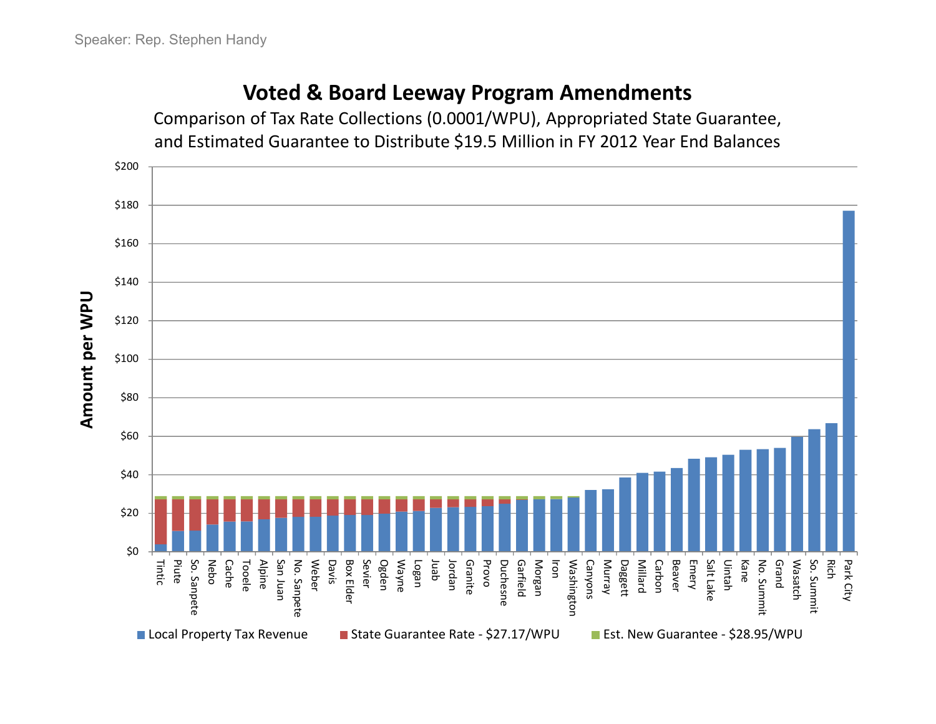## **Voted & Board Leeway Program Amendments**